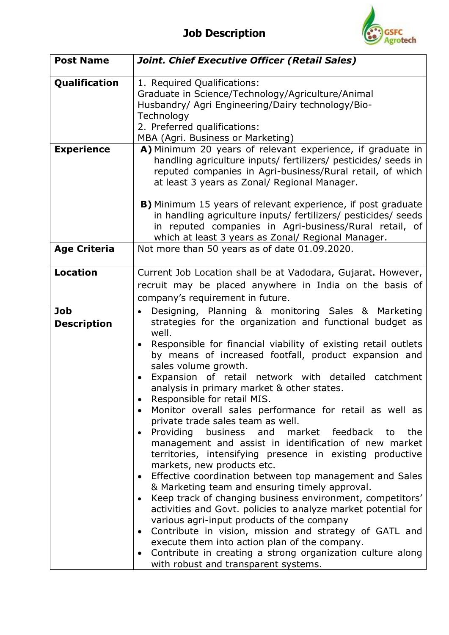

| <b>Post Name</b>                 | Joint. Chief Executive Officer (Retail Sales)                                                                                                                                                                                                                                                                                                                                                                                                                                                                                                                                                                                                                                                                                                                                                                                                                                                                                                                                                                                                                                                                                                                                                                                                                                                                                       |
|----------------------------------|-------------------------------------------------------------------------------------------------------------------------------------------------------------------------------------------------------------------------------------------------------------------------------------------------------------------------------------------------------------------------------------------------------------------------------------------------------------------------------------------------------------------------------------------------------------------------------------------------------------------------------------------------------------------------------------------------------------------------------------------------------------------------------------------------------------------------------------------------------------------------------------------------------------------------------------------------------------------------------------------------------------------------------------------------------------------------------------------------------------------------------------------------------------------------------------------------------------------------------------------------------------------------------------------------------------------------------------|
| Qualification                    | 1. Required Qualifications:<br>Graduate in Science/Technology/Agriculture/Animal<br>Husbandry/ Agri Engineering/Dairy technology/Bio-<br>Technology<br>2. Preferred qualifications:<br>MBA (Agri. Business or Marketing)                                                                                                                                                                                                                                                                                                                                                                                                                                                                                                                                                                                                                                                                                                                                                                                                                                                                                                                                                                                                                                                                                                            |
| <b>Experience</b>                | A) Minimum 20 years of relevant experience, if graduate in<br>handling agriculture inputs/ fertilizers/ pesticides/ seeds in<br>reputed companies in Agri-business/Rural retail, of which<br>at least 3 years as Zonal/ Regional Manager.<br>B) Minimum 15 years of relevant experience, if post graduate<br>in handling agriculture inputs/ fertilizers/ pesticides/ seeds<br>in reputed companies in Agri-business/Rural retail, of                                                                                                                                                                                                                                                                                                                                                                                                                                                                                                                                                                                                                                                                                                                                                                                                                                                                                               |
|                                  | which at least 3 years as Zonal/ Regional Manager.                                                                                                                                                                                                                                                                                                                                                                                                                                                                                                                                                                                                                                                                                                                                                                                                                                                                                                                                                                                                                                                                                                                                                                                                                                                                                  |
| <b>Age Criteria</b>              | Not more than 50 years as of date 01.09.2020.                                                                                                                                                                                                                                                                                                                                                                                                                                                                                                                                                                                                                                                                                                                                                                                                                                                                                                                                                                                                                                                                                                                                                                                                                                                                                       |
| <b>Location</b>                  | Current Job Location shall be at Vadodara, Gujarat. However,<br>recruit may be placed anywhere in India on the basis of<br>company's requirement in future.                                                                                                                                                                                                                                                                                                                                                                                                                                                                                                                                                                                                                                                                                                                                                                                                                                                                                                                                                                                                                                                                                                                                                                         |
| <b>Job</b><br><b>Description</b> | Designing, Planning & monitoring Sales & Marketing<br>$\bullet$<br>strategies for the organization and functional budget as<br>well.<br>Responsible for financial viability of existing retail outlets<br>by means of increased footfall, product expansion and<br>sales volume growth.<br>Expansion of retail<br>network with detailed catchment<br>$\bullet$<br>analysis in primary market & other states.<br>Responsible for retail MIS.<br>$\bullet$<br>Monitor overall sales performance for retail as well as<br>$\bullet$<br>private trade sales team as well.<br>Providing business and market feedback to<br>the<br>$\bullet$<br>management and assist in identification of new market<br>territories, intensifying presence in existing productive<br>markets, new products etc.<br>Effective coordination between top management and Sales<br>$\bullet$<br>& Marketing team and ensuring timely approval.<br>Keep track of changing business environment, competitors'<br>٠<br>activities and Govt. policies to analyze market potential for<br>various agri-input products of the company<br>Contribute in vision, mission and strategy of GATL and<br>$\bullet$<br>execute them into action plan of the company.<br>Contribute in creating a strong organization culture along<br>with robust and transparent systems. |